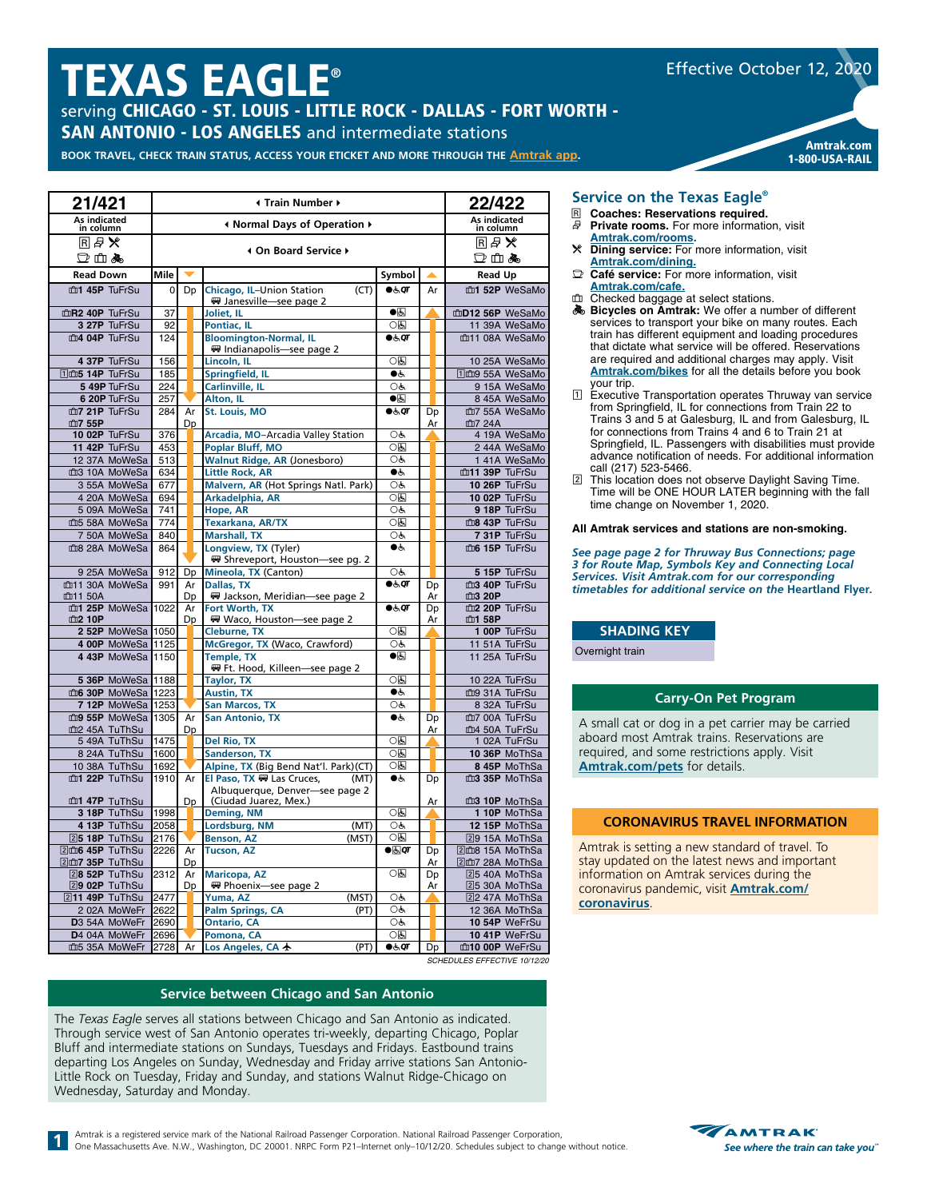# **TEXAS EAGLE®**

serving CHICAGO - ST. LOUIS - LITTLE ROCK - DALLAS - FORT WORTH -

**SAN ANTONIO - LOS ANGELES** and intermediate stations

Amtrak.com<br>BOOK TRAVEL, CHECK TRAIN STATUS, ACCESS YOUR ETICKET AND MORE THROUGH THE [Amtrak app](https://www.amtrak.com/mobile).

| 21/421                         | Internation Number +         |    |  |                                                                    |                        |    | 22/422 |                                |  |
|--------------------------------|------------------------------|----|--|--------------------------------------------------------------------|------------------------|----|--------|--------------------------------|--|
| As indicated<br>in column      | I Normal Days of Operation ▶ |    |  |                                                                    |                        |    |        | As indicated<br>in column      |  |
| ℝ₽⊁                            |                              |    |  | 4 On Board Service ▶                                               |                        |    |        | ℝ₽⊁                            |  |
| □血晶                            |                              |    |  |                                                                    |                        |    |        | □血晶                            |  |
| <b>Read Down</b>               | Mile                         |    |  |                                                                    | Symbol                 | ▲  |        | <b>Read Up</b>                 |  |
| m1 45P TuFrSu                  | 0                            | Dp |  | (CT)<br>Chicago, IL-Union Station<br>W Janesville-see page 2       | 66, qr                 |    | Ar     | m1 52P WeSaMo                  |  |
| mR2 40P TuFrSu                 | 37                           |    |  | Joliet, IL                                                         | $\bullet$              |    |        | mD12 56P WeSaMo                |  |
| 3 27P TuFrSu                   | 92                           |    |  | Pontiac, IL                                                        | 0固                     |    |        | 11 39A WeSaMo                  |  |
| m4 04P TuFrSu                  | 124                          |    |  | <b>Bloomington-Normal, IL</b><br>₩ Indianapolis-see page 2         | $\bullet$ க்ள          |    |        | 血11 08A WeSaMo                 |  |
| 4 37P TuFrSu                   | 156                          |    |  | Lincoln, IL                                                        | 0固                     |    |        | 10 25A WeSaMo                  |  |
| 11 m5 14P TuFrSu               | 185                          |    |  | <b>Springfield, IL</b>                                             | $\bullet$              |    |        | 11 m9 55A WeSaMo               |  |
| 5 49P TuFrSu                   | 224                          |    |  | Carlinville, IL                                                    | OĠ                     |    |        | 9 15A WeSaMo                   |  |
| 6 20P TuFrSu                   | 257                          |    |  | Alton, IL                                                          | $\bullet$              |    |        | 8 45A WeSaMo                   |  |
| m7 21P TuFrSu                  | 284                          | Ar |  | <b>St. Louis, MO</b>                                               | $\bullet \in$          | Dp |        | 血7 55A WeSaMo                  |  |
| 血7 55P                         |                              | Dp |  |                                                                    |                        |    | Ar     | 血7 24A                         |  |
| 10 02P TuFrSu                  | 376                          |    |  | Arcadia, MO-Arcadia Valley Station                                 | Oģ,                    |    |        | 4 19A WeSaMo                   |  |
| 11 42P TuFrSu                  | 453                          |    |  | Poplar Bluff, MO<br><b>Walnut Ridge, AR (Jonesboro)</b>            | 0固                     |    |        | 2 44A WeSaMo                   |  |
| 12 37A MoWeSa                  | 513                          |    |  |                                                                    | OĠ,<br>$\bullet$ ė     |    |        | 1 41A WeSaMo                   |  |
| m3 10A MoWeSa                  | 634                          |    |  | <b>Little Rock, AR</b>                                             | O&                     |    |        | m11 39P TuFrSu                 |  |
| 3 55A MoWeSa<br>4 20A MoWeSa   | 677                          |    |  | Malvern, AR (Hot Springs Natl. Park)<br>Arkadelphia, AR            | 0固                     |    |        | 10 26P TuFrSu<br>10 02P TuFrSu |  |
| 5 09A MoWeSa                   | 694<br>741                   |    |  | Hope, AR                                                           | OĠ                     |    |        | 9 18P TuFrSu                   |  |
| m5 58A MoWeSa                  | 774                          |    |  | <b>Texarkana, AR/TX</b>                                            | 0固                     |    |        | m8 43P TuFrSu                  |  |
| 7 50A MoWeSa                   | 840                          |    |  | <b>Marshall, TX</b>                                                | OĠ                     |    |        | 7 31P TuFrSu                   |  |
| ma 28A MoWeSa                  | 864                          |    |  | Longview, TX (Tyler)                                               | $\bullet$              |    |        | m6 15P TuFrSu                  |  |
|                                |                              |    |  | ₩ Shreveport, Houston-see pg. 2                                    |                        |    |        |                                |  |
| 9 25A MoWeSa                   | 912                          | Dp |  | Mineola, TX (Canton)                                               | OĠ                     |    |        | 5 15P TuFrSu                   |  |
| m11 30A MoWeSa                 | 991                          | Ar |  | Dallas, TX                                                         | $\bullet$ க்ர          | Dp |        | m3 40P TuFrSu                  |  |
| 血11 50A                        |                              | Dp |  | ₩ Jackson, Meridian-see page 2                                     |                        |    | Ar     | 血3 20P                         |  |
| m1 25P MoWeSa 1022             |                              | Ar |  | Fort Worth, TX                                                     | 0.50                   | Dp |        | m2 20P TuFrSu                  |  |
| 血2 10P                         |                              | Dp |  | Waco, Houston-see page 2                                           |                        |    | Ar     | 血1 58P                         |  |
| 2 52P MoWeSa 1050              |                              |    |  | Cleburne, TX                                                       | ০ন্ড                   |    |        | 1 00P TuFrSu                   |  |
| 4 00P MoWeSa 1125              |                              |    |  | McGregor, TX (Waco, Crawford)                                      | OĠ                     |    |        | 11 51A TuFrSu                  |  |
| 4 43P MoWeSa 1150              |                              |    |  | <b>Temple, TX</b><br>₩ Ft. Hood, Killeen-see page 2                | $\bullet$              |    |        | 11 25A TuFrSu                  |  |
| 5 36P MoWeSa 1188              |                              |    |  | Taylor, TX                                                         | 05                     |    |        | 10 22A TuFrSu                  |  |
| m6 30P MoWeSa 1223             |                              |    |  | <b>Austin, TX</b>                                                  | $\bullet$ ė            |    |        | m9 31A TuFrSu                  |  |
| 7 12P MoWeSa 1253              |                              |    |  | <b>San Marcos, TX</b>                                              | OĠ                     |    |        | 8 32A TuFrSu                   |  |
| m9 55P MoWeSa 1305             |                              | Ar |  | <b>San Antonio, TX</b>                                             | ●ر                     | Dp |        | m7 00A TuFrSu                  |  |
| m2 45A TuThSu                  |                              | Dp |  |                                                                    |                        | Ar |        | m4 50A TuFrSu                  |  |
| 5 49A TuThSu                   | 1475                         |    |  | <b>Del Rio, TX</b>                                                 | 0固                     |    |        | 1 02A TuFrSu                   |  |
| 8 24A TuThSu                   | 1600                         |    |  | <b>Sanderson, TX</b>                                               | 0固                     |    |        | 10 36P MoThSa                  |  |
| 10 38A TuThSu<br>m1 22P TuThSu | 1692<br>1910                 | Ar |  | Alpine, TX (Big Bend Nat'l. Park)(CT)<br>El Paso, TX . Las Cruces, | 0固<br>$\bullet$ ė      |    |        | 8 45P MoThSa<br>m3 35P MoThSa  |  |
|                                |                              |    |  | (MT)<br>Albuquerque, Denver-see page 2                             |                        | Dp |        |                                |  |
| m1 47P TuThSu                  |                              | Dp |  | (Ciudad Juarez, Mex.)                                              |                        |    | Ar     | m3 10P MoThSa                  |  |
| 3 18P TuThSu                   | 1998                         |    |  | Deming, NM                                                         | $\overline{OB}$        |    |        | 1 10P MoThSa                   |  |
| 4 13P TuThSu                   | 2058                         |    |  | Lordsburg, NM<br>(MT)                                              | OĠ                     |    |        | 12 15P MoThSa                  |  |
| 25 18P TuThSu                  | 2176                         |    |  | Benson, AZ<br>(MST)                                                | 0固                     |    |        | 29 15A MoThSa                  |  |
| 2m6 45P TuThSu                 | 2226                         | Ar |  | <b>Tucson, AZ</b>                                                  | $\bullet$ $\boxdot$ or | Dp |        | 2m8 15A MoThSa                 |  |
| 2dm7 35P TuThSu                |                              | Dp |  |                                                                    |                        | Ar |        | 2m7 28A MoThSa                 |  |
| 28 52P TuThSu                  | 2312                         | Ar |  | <b>Maricopa, AZ</b>                                                | 0因                     | Dp |        | 25 40A MoThSa                  |  |
| 29 02P TuThSu                  |                              | Dp |  | ₩ Phoenix-see page 2                                               |                        |    | Ar     | 25 30A MoThSa                  |  |
| 211 49P TuThSu                 | 2477                         |    |  | (MST)<br>Yuma, AZ                                                  | OĠ                     |    |        | 22 47A MoThSa                  |  |
| 2 02A MoWeFr                   | 2622                         |    |  | <b>Palm Springs, CA</b><br>(PT)                                    | OĠ                     |    |        | 12 36A MoThSa                  |  |
| D3 54A MoWeFr                  | 2690                         |    |  | <b>Ontario, CA</b>                                                 | OĠ                     |    |        | 10 54P WeFrSu                  |  |
| D4 04A MoWeFr                  | 2696                         |    |  | Pomona, CA                                                         | 05                     |    |        | 10 41P WeFrSu                  |  |
| 血5 35A MoWeFr                  | 2728                         | Ar |  | Los Angeles, CA +<br>(PT)                                          | 0.50                   | Dp |        | m10 00P WeFrSu                 |  |

*SCHEDULES EFFECTIVE 10/12/20*

#### **Service between Chicago and San Antonio**

The *Texas Eagle* serves all stations between Chicago and San Antonio as indicated. Through service west of San Antonio operates tri-weekly, departing Chicago, Poplar Bluff and intermediate stations on Sundays, Tuesdays and Fridays. Eastbound trains departing Los Angeles on Sunday, Wednesday and Friday arrive stations San Antonio-Little Rock on Tuesday, Friday and Sunday, and stations Walnut Ridge-Chicago on Wednesday, Saturday and Monday.

Amtrak is a registered service mark of the National Railroad Passenger Corporation. National Railroad Passenger Corporation, One Massachusetts Ave. N.W., Washington, DC 20001. NRPC Form P21–Internet only–10/12/20. Schedules subject to change without notice.<br>One Massachusetts Ave. N.W., Washington, DC 20001. NRPC Form P21–Internet only–10/12/20.

#### **Service on the Texas Eagle®**

- R **Coaches: Reservations required.** Private rooms. For more information, visit
- **[Amtrak.com/rooms](https://www.amtrak.com/rooms).** r **Dining service:** For more information, visit **[Amtrak.com/dining.](https://www.amtrak.com/onboard-the-train-meals-dining)**
- y **Café service:** For more information, visit **[Amtrak.com/](https://www.amtrak.com/cafe)cafe.**
- **checked baggage at select stations.**
- O **Bicycles on Amtrak:** We offer a number of different services to transport your bike on many routes. Each train has different equipment and loading procedures that dictate what service will be offered. Reservations are required and additional charges may apply. Visit **[Amtrak.com/bikes](https://www.amtrak.com/bikes)** for all the details before you book your trip.

1-800-USA-RAIL

Effective October 12, 2020

- 1 Executive Transportation operates Thruway van service from Springfield, IL for connections from Train 22 to Trains 3 and 5 at Galesburg, IL and from Galesburg, IL for connections from Trains 4 and 6 to Train 21 at Springfield, IL. Passengers with disabilities must provide advance notification of needs. For additional information call (217) 523-5466.
- 2 This location does not observe Daylight Saving Time. Time will be ONE HOUR LATER beginning with the fall time change on November 1, 2020.

#### **All Amtrak services and stations are non-smoking.**

*See page page 2 for Thruway Bus Connections; page 3 for Route Map, Symbols Key and Connecting Local Services. Visit Amtrak.com for our corresponding timetables for additional service on the* **Heartland Flyer***.*

#### **SHADING KEY**

Overnight train

#### **Carry-On Pet Program**

A small cat or dog in a pet carrier may be carried aboard most Amtrak trains. Reservations are required, and some restrictions apply. Visit **[Amtrak.com/pets](https://www.amtrak.com/pets)** for details.

#### **CORONAVIRUS TRAVEL INFORMATION**

Amtrak is setting a new standard of travel. To stay updated on the latest news and important information on Amtrak services during the coronavirus pandemic, visit **[Amtrak.com/](https://www.amtrak.com/coronavirus) coronavirus**.

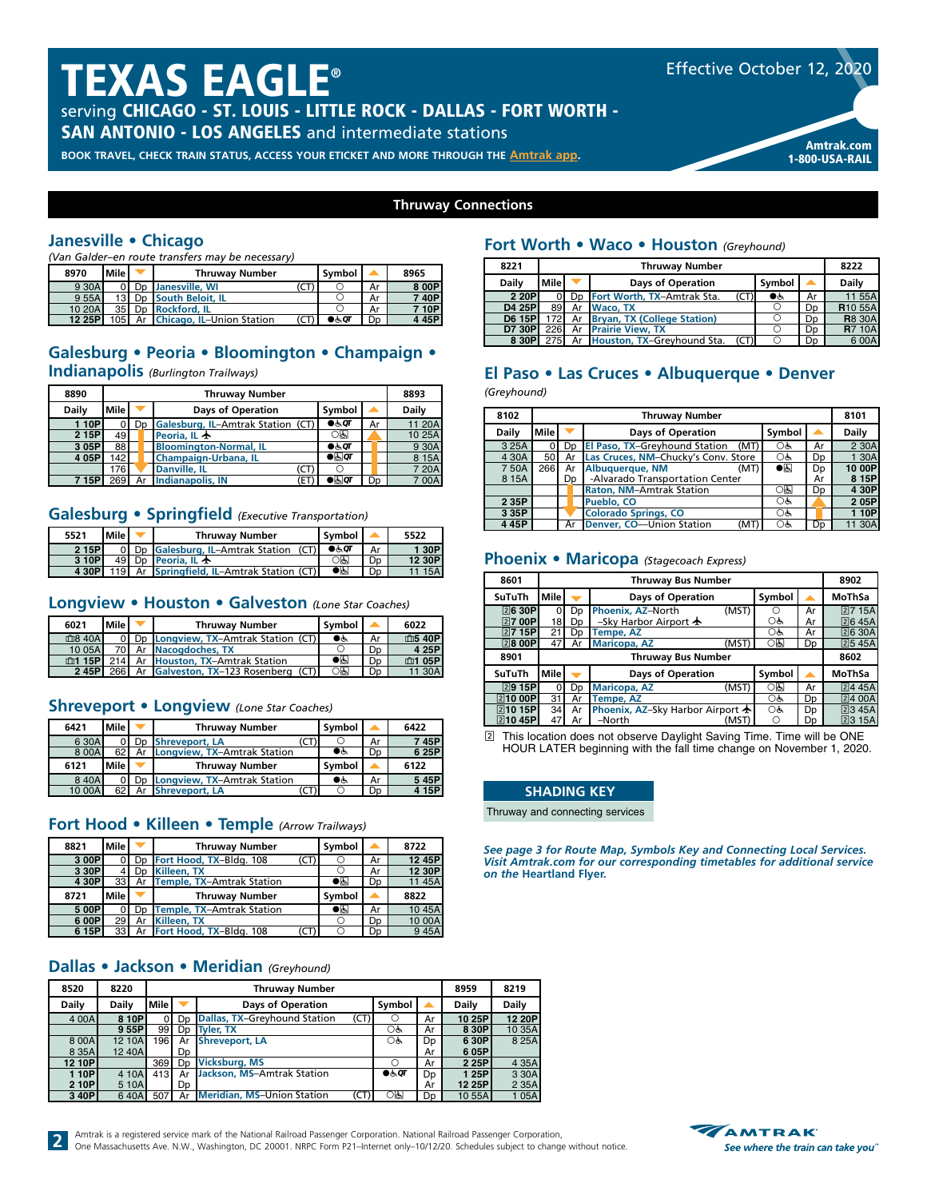# TEXAS EAGLE®

serving CHICAGO - ST. LOUIS - LITTLE ROCK - DALLAS - FORT WORTH -

**SAN ANTONIO - LOS ANGELES** and intermediate stations

Amtrak.com<br>BOOK TRAVEL, CHECK TRAIN STATUS, ACCESS YOUR ETICKET AND MORE THROUGH THE [Amtrak app](https://www.amtrak.com/mobile).



1-800-USA-RAIL

#### **Thruway Connections**

### **Janesville • Chicago**

*(Van Galder–en route transfers may be necessary)*

| 8970   | Mile            |    | <b>Thruway Number</b>            |    | Symbol |    | 8965    |
|--------|-----------------|----|----------------------------------|----|--------|----|---------|
| 9 30A  |                 | Dp | Janesville, WI                   | J. |        | Ar | 8 00P   |
| 9 55A  | 13 I            |    | Do South Beloit. IL              |    |        | Ar | 740P    |
| 10 20A | 35 <sub>1</sub> |    | Do Rockford, IL                  |    |        | Ar | 710P    |
| 12 25P | 105 I           | Ar | <b>Chicago, IL-Union Station</b> |    | ●க்0ா  | Dp | 4 4 5 P |

### **Galesburg • Peoria • Bloomington • Champaign •**

**Indianapolis** *(Burlington Trailways)*

| 8890         |      | <b>Thruway Number</b> |    |                                   |                      |                |              |  |  |  |  |
|--------------|------|-----------------------|----|-----------------------------------|----------------------|----------------|--------------|--|--|--|--|
| <b>Daily</b> | Mile |                       |    | <b>Days of Operation</b>          | Symbol               |                | <b>Daily</b> |  |  |  |  |
| <b>10P</b>   |      | D <sub>p</sub>        |    | Galesburg, IL-Amtrak Station (CT) | $\bullet$ & $\sigma$ | Ar             | 1 20A        |  |  |  |  |
| 2 15P        | 49   |                       |    | Peoria. IL $\bigstar$             | ০ন্ড                 |                | 10 25A       |  |  |  |  |
| 3 05P        | 88   |                       |    | <b>Bloomington-Normal, IL</b>     | 0.60T                |                | 9 30A        |  |  |  |  |
| 4 05P        | 42   |                       |    | Champaign-Urbana, IL              | $\bullet$ a $\sigma$ |                | 8 15A        |  |  |  |  |
|              | 176  |                       |    | <b>Danville, IL</b><br>.c l       |                      |                | 7 20A        |  |  |  |  |
| 7 15P        | 269  |                       | Ar | Indianapolis, IN<br>ΈT            | ●கெ                  | D <sub>D</sub> | 7 00A        |  |  |  |  |

#### **Galesburg • Springfield** *(Executive Transportation)*

| 5521  | Mile l | <b>Thruway Number</b>                  | Symbol                 |    | 5522   |
|-------|--------|----------------------------------------|------------------------|----|--------|
| 2 15P |        | Dp Galesburg, IL-Amtrak Station (CT)   | $\bullet \circ \sigma$ | Ar | 1 30P  |
| 3 10P | 49 I   | Do Peoria, IL $\bigstar$               | ाड                     | Dp | 12 30P |
| 4 30P | 119 I  | Ar Springfield, IL-Amtrak Station (CT) | $\bullet$ g            | Dn | 15A    |

#### **Longview • Houston • Galveston** *(Lone Star Coaches)*

| 6021               | l Mile l |    | <b>Thruway Number</b>               | l Svmbol     |    | 6022   |
|--------------------|----------|----|-------------------------------------|--------------|----|--------|
| m <sub>8</sub> 40A |          |    | Dp Longview, TX-Amtrak Station (CT) | $\bullet$ is | Ar | 血5 40P |
| 10 05A             |          |    | Ar Nacogdoches, TX                  |              | Dp | 4 25P  |
| <b>血1 15PI</b>     | 214      |    | Ar Houston, TX-Amtrak Station       | ●க           | Dp | 血1 05P |
| 245PI              | 2661     | Ar | Galveston, TX-123 Rosenberg (CT)    | ाड           | מכ | 11 30A |

#### **Shreveport • Longview** *(Lone Star Coaches)*

| 6421   | Mile | <b>Thruway Number</b>       | Symbol |    | 6422  |
|--------|------|-----------------------------|--------|----|-------|
| 6 30A  |      | Shreveport, LA<br>(LT )     |        | Ar | 745P  |
| 8 00A  | 62   | Longview, TX-Amtrak Station | €€     | Dp | 6 25P |
| 6121   | Mile | <b>Thruway Number</b>       | Symbol |    | 6122  |
| 840A   |      | Longview, TX-Amtrak Station | DĠ.    | Ar | 545P  |
| 10 00A | 62   | <b>Shreveport, LA</b>       |        | Dp | 15P   |

#### **Fort Hood • Killeen • Temple** *(Arrow Trailways)*

| 8821  | <b>Mile</b>     |    | <b>Thruway Number</b>                     | Symbol      |    | 8722   |
|-------|-----------------|----|-------------------------------------------|-------------|----|--------|
| 3 00P |                 |    | Fort Hood, TX-Bldg. 108<br>(CT)           |             | Ar | 12 45P |
| 3 30P |                 | Dn | Killeen, TX                               |             | Ar | 12 30P |
| 4 30P | 33 <sup>1</sup> |    | Ar Temple, TX-Amtrak Station              | $\bullet$   | Dp | 11 45A |
|       |                 |    |                                           |             |    |        |
| 8721  | Mile            |    | <b>Thruway Number</b>                     | Symbol      |    | 8822   |
| 500P  |                 |    | Temple, TX-Amtrak Station                 | $\bullet$ a | Ar | 1045A  |
| 6 00P | 29              | Ar | Killeen, TX<br>Ar Fort Hood, TX-Bldg. 108 |             | Dp | 10 00A |

### **Dallas • Jackson • Meridian** *(Greyhound)*

| 8520         | 8220         |                  |    | 8959                                      | 8219   |                |        |              |
|--------------|--------------|------------------|----|-------------------------------------------|--------|----------------|--------|--------------|
| <b>Daily</b> | <b>Daily</b> | Mile             |    | <b>Days of Operation</b>                  | Symbol |                | Daily  | <b>Daily</b> |
| 4 00A        | 8 10P        |                  | Dp | Dallas, TX-Greyhound Station<br>(CT)      |        | Ar             | 10 25P | 12 20P       |
|              | 955P         | 99 l             | Dp | Tvler. TX                                 | OĠ     | Ar             | 8 30P  | 10 35A       |
| 8 0 0 A      | 12 10A       | 196 I            | Ar | <b>Shreveport, LA</b>                     | OĠ     | Dp             | 6 30P  | 8 25A        |
| 8 3 5 A      | 12 40A       |                  | Dp |                                           |        | Ar             | 605P   |              |
| 12 10P       |              | 369 <sup>1</sup> | Dp | <b>Vicksburg, MS</b>                      |        | Ar             | 2 25P  | 4 3 5 A      |
| 1 10Pl       | 4 10A        | 413              | Ar | Jackson, MS-Amtrak Station                | 0.60T  | D <sub>D</sub> | 1 25P  | 3 30A        |
| 2 10P        | 5 10A        |                  | Dp |                                           |        | Ar             | 12 25P | 2 35A        |
| 3 40P        | 640A         | 507              | Ar | <b>Meridian, MS-Union Station</b><br>(CT) | ০ম্ভ   | D <sub>D</sub> | 10 55A | 105A         |

#### **7 50A** 266 Ar Albuquerque, NM<br>8 15A Dp -Alvarado Transportation Center **CODE Ar** 8 15P Alvarado Transportation Center Ar **Ar 8 15P**<br>Raton, NM-Amtrak Station **D** O B D **4 30P Raton, NM-Amtrak Station | OB Dp 2 35P Pueblo, CO 2 05P Pueblo, CO**

*(Greyhound)*

#### **Phoenix • Maricopa** *(Stagecoach Express)*

**4 Ar Denver, CO––Union Station** 

**Fort Worth • Waco • Houston** *(Greyhound)*

**8221 Thruway Number 8222 Daily Mile v Days of Operation Symbol A** Daily<br> **2 20P** 0 Dp Fort Worth, TX-Amtrak Sta. (CT) **C** & Ar 11 55A **2 20P** 0 Dp **Fort Worth, TX–Amtrak Sta.** (CT) ● 6 Ar 11 55A<br>**D4 25P** 89 Ar Waco, TX 0 Dp **R**10 55A **D4 25P** 89 Ar Waco, TX<br> **D6 15P** 172 Ar Bryan, TX (College Station) <br> **D7 30P** 226 Ar Prairie View. TX <br> **D7 30P** 226 Ar Prairie View. TX **172** Ar **Bryan, TX (College Station)**  $\overline{O}$  **Dp**<br>226 Ar **Prairie View. TX**  $\overline{O}$  **Dp D7 30P** 226 Ar **Prairie View, TX**<br> **8 30P** 275 Ar Houston, TX–Greyhound Sta. (CT) O Dp 6 00A

**El Paso • Las Cruces • Albuquerque • Denver**

**8102 Thruway Number 8101 Daily Mile Days of Operation Symbol A** Daily<br>3 25A 0 Dp El Paso, TX-Greyhound Station (MT) O& Ar 2 30A 3 25A 0 Dp **El Paso, TX–Greyhound Station (MT)** 0 & Ar 2 30A<br>4 30A 50 Ar Las Cruces, NM–Chucky's Conv. Store 0 & Dp 1 30A **4 30 Ar Las Cruces, NM–Chucky's Conv. Store Ode**<br>P66 Ar Albuquerque NM

**2 35P** Pueblo, CO<br> **3 35P** Colorado Springs, CO<br> **4 45P** Ar Denver, CO—Union Station (MT) O& Dp 11 30A

| 8601             |      | <b>Thruway Bus Number</b> |                                  |        |    |         |  |  |  |  |  |
|------------------|------|---------------------------|----------------------------------|--------|----|---------|--|--|--|--|--|
| SuTuTh           | Mile |                           | <b>Days of Operation</b>         | Symbol |    | MoThSa  |  |  |  |  |  |
| $\sqrt{2}$ 6 30P | 0    | Dp                        | Phoenix, AZ-North<br>(MST)       | ∩      | Ar | 27 15A  |  |  |  |  |  |
| 27 00P           | 18   | Dp                        | -Sky Harbor Airport $\bigstar$   | Оè     | Ar | 26 45A  |  |  |  |  |  |
| 27 15P           | 21   | Dp                        | Tempe, AZ                        | Оè     | Ar | [2]630A |  |  |  |  |  |
| $\sqrt{2}800P$   | 47   | Ar                        | (MST<br><b>Maricopa, AZ</b>      | ାବ୍    | Dp | 2545A   |  |  |  |  |  |
| 8901             |      |                           | <b>Thruway Bus Number</b>        |        |    | 8602    |  |  |  |  |  |
| SuTuTh           | Mile |                           | <b>Days of Operation</b>         | Symbol |    | MoThSa  |  |  |  |  |  |
| $\sqrt{2}915P$   | 0    | Dp                        | <b>Maricopa, AZ</b><br>(MST      | 0回     | Ar | [2]445A |  |  |  |  |  |
| 21000P           | 31   | Ar                        | <b>Tempe, AZ</b>                 | Оò     | Dp | 2400A   |  |  |  |  |  |
| 21015P           | 34   | Ar                        | Phoenix, AZ-Sky Harbor Airport ★ | Оè     | Dp | 23 45A  |  |  |  |  |  |
| 21045P           | 47   | Ar                        | -North<br>(MST                   | Ω      | Dɒ | 23 15A  |  |  |  |  |  |

2 This location does not observe Daylight Saving Time. Time will be ONE HOUR LATER beginning with the fall time change on November 1, 2020.

## **SHADING KEY**

Thruway and connecting services

*See page 3 for Route Map, Symbols Key and Connecting Local Services. Visit Amtrak.com for our corresponding timetables for additional service on the* **Heartland Flyer.**